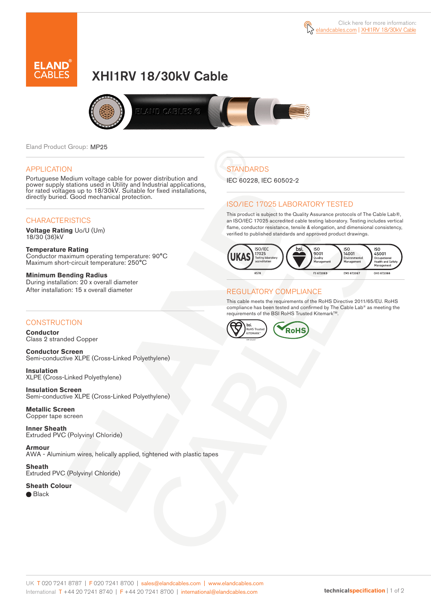



# XHI1RV 18/30kV Cable



Eland Product Group: MP25

#### APPLICATION

Portuguese Medium voltage cable for power distribution and power supply stations used in Utility and Industrial applications, for rated voltages up to 18/30kV. Suitable for fixed installations, directly buried. Good mechanical protection.

#### **CHARACTERISTICS**

**Voltage Rating** Uo/U (Um) 18/30 (36)kV

**Temperature Rating** Conductor maximum operating temperature: 90°C Maximum short-circuit temperature: 250°C

**Minimum Bending Radius** During installation: 20 x overall diameter After installation: 15 x overall diameter

#### **CONSTRUCTION**

**Conductor**  Class 2 stranded Copper

**Conductor Screen** Semi-conductive XLPE (Cross-Linked Polyethylene)

**Insulation** XLPE (Cross-Linked Polyethylene)

**Insulation Screen** Semi-conductive XLPE (Cross-Linked Polyethylene)

**Metallic Screen**  Copper tape screen

**Inner Sheath** Extruded PVC (Polyvinyl Chloride)

**Armour** AWA - Aluminium wires, helically applied, tightened with plastic tapes

**Sheath** Extruded PVC (Polyvinyl Chloride)

**Sheath Colour**  ● Black

**STANDARDS** 

IEC 60228, IEC 60502-2

#### ISO/IEC 17025 LABORATORY TESTED

This product is subject to the Quality Assurance protocols of The Cable Lab®, an ISO/IEC 17025 accredited cable testing laboratory. Testing includes vertical flame, conductor resistance, tensile & elongation, and dimensional consistency, verified to published standards and approved product drawings.



#### REGULATORY COMPLIANCE

This cable meets the requirements of the RoHS Directive 2011/65/EU. RoHS compliance has been tested and confirmed by The Cable Lab® as meeting the requirements of the BSI RoHS Trusted Kitemark™.